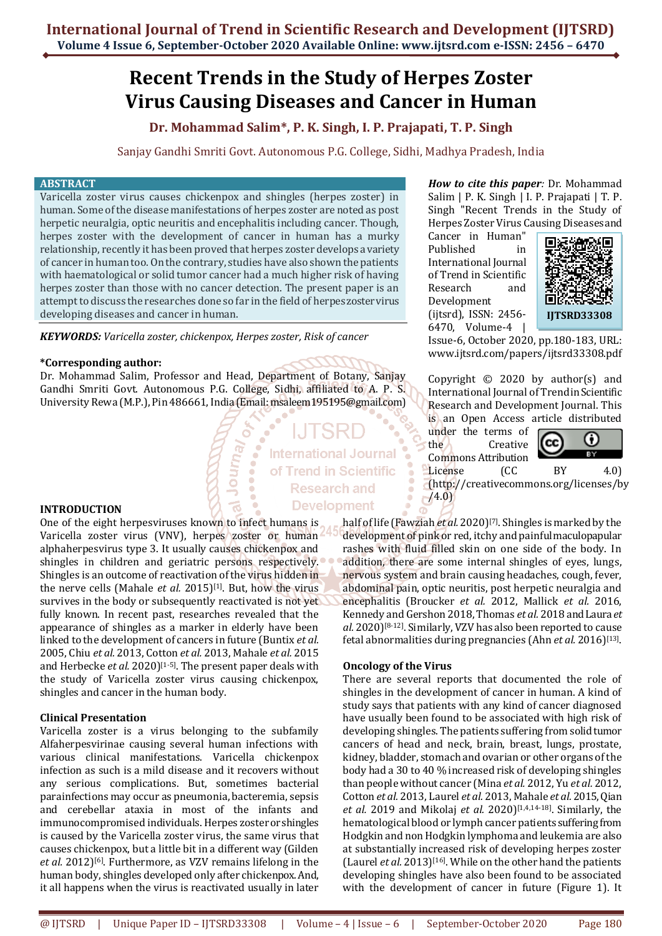# **Recent Trends in the Study of Herpes Zoster Virus Causing Diseases and Cancer in Human**

**Dr. Mohammad Salim\*, P. K. Singh, I. P. Prajapati, T. P. Singh**

Sanjay Gandhi Smriti Govt. Autonomous P.G. College, Sidhi, Madhya Pradesh, India

#### **ABSTRACT**

Varicella zoster virus causes chickenpox and shingles (herpes zoster) in human. Some of the disease manifestations of herpes zoster are noted as post herpetic neuralgia, optic neuritis and encephalitis including cancer. Though, herpes zoster with the development of cancer in human has a murky relationship, recently it has been proved that herpes zoster develops a variety of cancer in human too. On the contrary, studies have also shown the patients with haematological or solid tumor cancer had a much higher risk of having herpes zoster than those with no cancer detection. The present paper is an attempt to discuss the researches done so far in the field of herpes zoster virus developing diseases and cancer in human.

*KEYWORDS: Varicella zoster, chickenpox, Herpes zoster, Risk of cancer*

### **\*Corresponding author:**

Dr. Mohammad Salim, Professor and Head, Department of Botany, Sanjay Gandhi Smriti Govt. Autonomous P.G. College, Sidhi, affiliated to A. P. S. University Rewa (M.P.), Pin 486661, India (Email: msaleem195195@gmail.com)

> **International Journal** of Trend in Scientific **Research and Development**

## **INTRODUCTION**

One of the eight herpesviruses known to infect humans is Varicella zoster virus (VNV), herpes zoster or human alphaherpesvirus type 3. It usually causes chickenpox and shingles in children and geriatric persons respectively. Shingles is an outcome of reactivation of the virus hidden in the nerve cells (Mahale *et al.* 2015)<sup>[1]</sup>. But, how the virus survives in the body or subsequently reactivated is not yet fully known. In recent past, researches revealed that the appearance of shingles as a marker in elderly have been linked to the development of cancers in future (Buntix *et al.* 2005, Chiu *et al.* 2013, Cotton *et al.* 2013, Mahale *et al.* 2015 and Herbecke *et al.* 2020)<sup>[1-5]</sup>. The present paper deals with the study of Varicella zoster virus causing chickenpox, shingles and cancer in the human body.

### **Clinical Presentation**

Varicella zoster is a virus belonging to the subfamily Alfaherpesvirinae causing several human infections with various clinical manifestations. Varicella chickenpox infection as such is a mild disease and it recovers without any serious complications. But, sometimes bacterial parainfections may occur as pneumonia, bacteremia, sepsis and cerebellar ataxia in most of the infants and immunocompromised individuals. Herpes zoster or shingles is caused by the Varicella zoster virus, the same virus that causes chickenpox, but a little bit in a different way (Gilden *et al.* 2012)[6]. Furthermore, as VZV remains lifelong in the human body, shingles developed only after chickenpox. And, it all happens when the virus is reactivated usually in later

*How to cite this paper:* Dr. Mohammad Salim | P. K. Singh | I. P. Prajapati | T. P. Singh "Recent Trends in the Study of Herpes Zoster Virus Causing Diseases and

Cancer in Human" Published in International Journal of Trend in Scientific Research and Development (ijtsrd), ISSN: 2456- 6470, Volume-4 |



Issue-6, October 2020, pp.180-183, URL: [www.ijtsrd.com/papers/ijtsrd33308.pdf](https://www.ijtsrd.com/papers/ijtsrd33308.pdf)

Copyright © 2020 by author(s) and International Journal of Trend in Scientific Research and Development Journal. This is an Open Access article distributed

under the terms of the Creative Commons Attribution



License (CC BY 4.0) (http://creativecommons.org/licenses/by  $(4.0)$ 

half of life (Fawziah *et al.* 2020)[7]. Shingles is marked by the development of pink or red, itchy and painful maculopapular rashes with fluid filled skin on one side of the body. In addition, there are some internal shingles of eyes, lungs, nervous system and brain causing headaches, cough, fever, abdominal pain, optic neuritis, post herpetic neuralgia and encephalitis (Broucker *et al.* 2012, Mallick *et al.* 2016, Kennedy and Gershon 2018, Thomas *et al.* 2018 and Laura *et al.* 2020)[8-12]. Similarly, VZV has also been reported to cause fetal abnormalities during pregnancies (Ahn et al. 2016)<sup>[13]</sup>.

### **Oncology of the Virus**

There are several reports that documented the role of shingles in the development of cancer in human. A kind of study says that patients with any kind of cancer diagnosed have usually been found to be associated with high risk of developing shingles. The patients suffering from solid tumor cancers of head and neck, brain, breast, lungs, prostate, kidney, bladder, stomach and ovarian or other organs of the body had a 30 to 40 % increased risk of developing shingles than people without cancer (Mina *et al.* 2012, Yu *et al.* 2012, Cotton *et al.* 2013, Laurel *et al.* 2013, Mahale *et al.* 2015, Qian *et al.* 2019 and Mikolaj *et al.* 2020)[1,4,14-18]. Similarly, the hematological blood or lymph cancer patients suffering from Hodgkin and non Hodgkin lymphoma and leukemia are also at substantially increased risk of developing herpes zoster (Laurel *et al.* 2013)[16]. While on the other hand the patients developing shingles have also been found to be associated with the development of cancer in future (Figure 1). It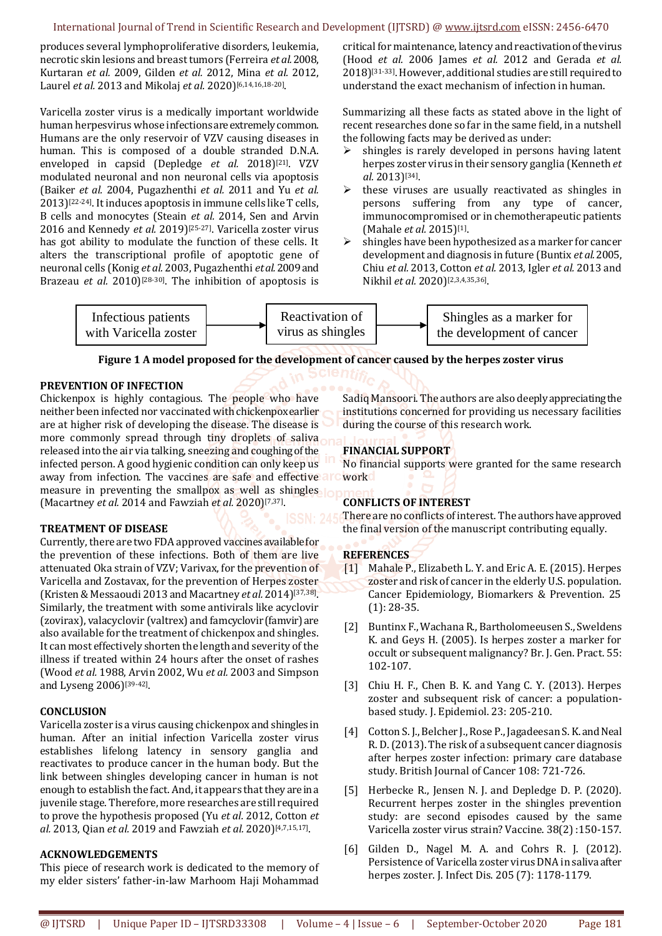produces several lymphoproliferative disorders, leukemia, necrotic skin lesions and breast tumors (Ferreira *et al.*2008, Kurtaran *et al.* 2009, Gilden *et al.* 2012, Mina *et al.* 2012, Laurel *et al.* 2013 and Mikolaj *et al.* 2020)<sup>[6,14,16,18-20].</sup>

Varicella zoster virus is a medically important worldwide human herpesvirus whose infections are extremely common. Humans are the only reservoir of VZV causing diseases in human. This is composed of a double stranded D.N.A. enveloped in capsid (Depledge et al. 2018)<sup>[21]</sup>. VZV modulated neuronal and non neuronal cells via apoptosis (Baiker *et al.* 2004, Pugazhenthi *et al.* 2011 and Yu *et al.* 2013)[22-24]. Itinduces apoptosis in immune cells like T cells, B cells and monocytes (Steain *et al.* 2014, Sen and Arvin 2016 and Kennedy *et al.* 2019)[25-27]. Varicella zoster virus has got ability to modulate the function of these cells. It alters the transcriptional profile of apoptotic gene of neuronal cells (Konig *et al.* 2003, Pugazhenthi *et al.*2009 and Brazeau *et al.* 2010)<sup>[28-30]</sup>. The inhibition of apoptosis is

critical for maintenance, latency and reactivation of the virus (Hood *et al.* 2006 James *et al.* 2012 and Gerada *et al.* 2018)[31-33]. However, additional studies are still required to understand the exact mechanism of infection in human.

Summarizing all these facts as stated above in the light of recent researches done so far in the same field, in a nutshell the following facts may be derived as under:

- $\triangleright$  shingles is rarely developed in persons having latent herpes zoster virus in their sensory ganglia (Kenneth *et al.* 2013)[34] .
- these viruses are usually reactivated as shingles in persons suffering from any type of cancer, immunocompromised or in chemotherapeutic patients (Mahale *et al.* 2015)[1] .
- shingles have been hypothesized as a marker for cancer development and diagnosis in future (Buntix *et al.*2005, Chiu *et al.* 2013, Cotton *et al.* 2013, Igler *et al.* 2013 and Nikhil et al. 2020)<sup>[2,3,4,35,36]</sup>.



## **Figure 1 A model proposed for the development of cancer caused by the herpes zoster virus**

### **PREVENTION OF INFECTION**

Chickenpox is highly contagious. The people who have neither been infected nor vaccinated with chickenpox earlier are at higher risk of developing the disease. The disease is more commonly spread through tiny droplets of saliva released into the air via talking, sneezing and coughing of the infected person. A good hygienic condition can only keep us away from infection. The vaccines are safe and effective are measure in preventing the smallpox as well as shingles (Macartney *et al.* 2014 and Fawziah *et al.* 2020)[7,37] .

### **TREATMENT OF DISEASE**

Currently, there are two FDA approved vaccines available for the prevention of these infections. Both of them are live attenuated Oka strain of VZV; Varivax, for the prevention of Varicella and Zostavax, for the prevention of Herpes zoster (Kristen & Messaoudi 2013 and Macartney *et al.* 2014)[37,38] . Similarly, the treatment with some antivirals like acyclovir (zovirax), valacyclovir (valtrex) and famcyclovir (famvir) are also available for the treatment of chickenpox and shingles. It can most effectively shorten the length and severity of the illness if treated within 24 hours after the onset of rashes (Wood *et al.* 1988, Arvin 2002, Wu *et al.* 2003 and Simpson and Lyseng 2006)[39-42] .

### **CONCLUSION**

Varicella zoster is a virus causing chickenpox and shingles in human. After an initial infection Varicella zoster virus establishes lifelong latency in sensory ganglia and reactivates to produce cancer in the human body. But the link between shingles developing cancer in human is not enough to establish the fact. And, it appears that they are in a juvenile stage. Therefore, more researches are still required to prove the hypothesis proposed (Yu *et al.* 2012, Cotton *et al.* 2013, Qian *et al.* 2019 and Fawziah *et al.* 2020)[4,7,15,17] .

#### **ACKNOWLEDGEMENTS**

This piece of research work is dedicated to the memory of my elder sisters' father-in-law Marhoom Haji Mohammad Sadiq Mansoori. The authors are also deeply appreciating the institutions concerned for providing us necessary facilities during the course of this research work.

# **FINANCIAL SUPPORT**

No financial supports were granted for the same research work

# **CONFLICTS OF INTEREST**

There are no conflicts of interest. The authors have approved the final version of the manuscript contributing equally.

### **REFERENCES**

- [1] Mahale P., Elizabeth L. Y. and Eric A. E. (2015). Herpes zoster and risk of cancer in the elderly U.S. population. Cancer Epidemiology, Biomarkers & Prevention. 25 (1): 28-35.
- [2] Buntinx F., Wachana R., Bartholomeeusen S., Sweldens K. and Geys H. (2005). Is herpes zoster a marker for occult or subsequent malignancy? Br. J. Gen. Pract. 55: 102-107.
- [3] Chiu H. F., Chen B. K. and Yang C. Y. (2013). Herpes zoster and subsequent risk of cancer: a populationbased study. J. Epidemiol. 23: 205-210.
- [4] Cotton S. J., Belcher J., Rose P., Jagadeesan S. K. and Neal R. D. (2013). The risk of a subsequent cancer diagnosis after herpes zoster infection: primary care database study. British Journal of Cancer 108: 721-726.
- [5] Herbecke R., Jensen N. J. and Depledge D. P. (2020). Recurrent herpes zoster in the shingles prevention study: are second episodes caused by the same Varicella zoster virus strain? Vaccine. 38(2) :150-157.
- [6] Gilden D., Nagel M. A. and Cohrs R. J. (2012). Persistence of Varicella zoster virus DNA in saliva after herpes zoster. J. Infect Dis. 205 (7): 1178-1179.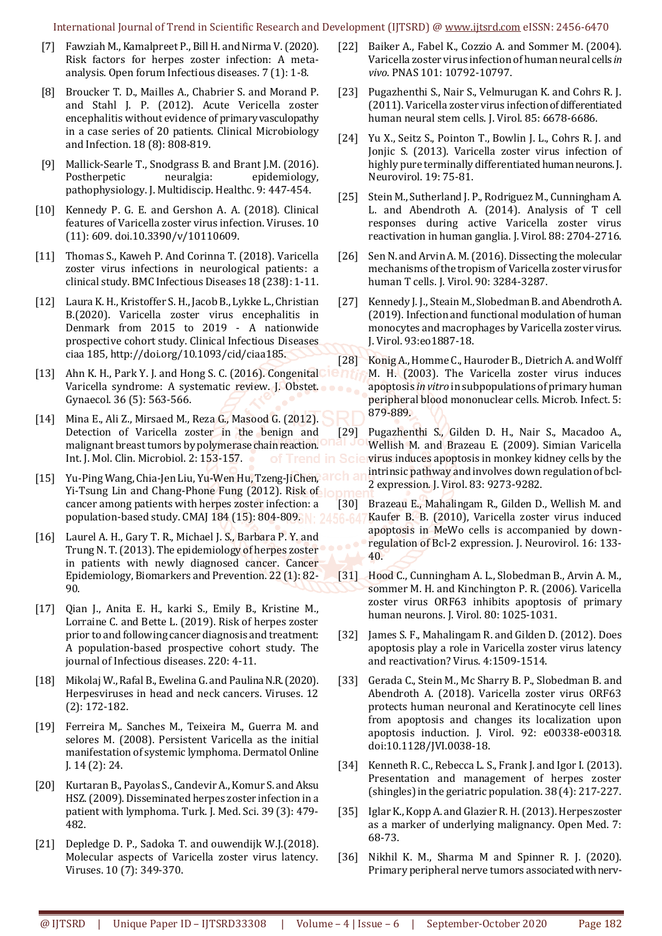International Journal of Trend in Scientific Research and Development (IJTSRD) @ [www.ijtsrd.com](http://www.ijtsrd.com/) eISSN: 2456-6470

- [7] Fawziah M., Kamalpreet P., Bill H. and Nirma V. (2020). Risk factors for herpes zoster infection: A metaanalysis. Open forum Infectious diseases. 7 (1): 1-8.
- [8] Broucker T. D., Mailles A., Chabrier S. and Morand P. and Stahl J. P. (2012). Acute Vericella zoster encephalitis without evidence of primary vasculopathy in a case series of 20 patients. Clinical Microbiology and Infection. 18 (8): 808-819.
- [9] Mallick-Searle T., Snodgrass B. and Brant J.M. (2016). Postherpetic neuralgia: epidemiology, pathophysiology. J. Multidiscip. Healthc. 9: 447-454.
- [10] Kennedy P. G. E. and Gershon A. A. (2018). Clinical features of Varicella zoster virus infection. Viruses. 10 (11): 609. doi.10.3390/v/10110609.
- [11] Thomas S., Kaweh P. And Corinna T. (2018). Varicella zoster virus infections in neurological patients: a clinical study. BMC Infectious Diseases 18 (238): 1-11.
- [12] Laura K. H., Kristoffer S. H., Jacob B., Lykke L., Christian B.(2020). Varicella zoster virus encephalitis in Denmark from 2015 to 2019 - A nationwide prospective cohort study. Clinical Infectious Diseases ciaa 185[, http://doi.org/10.1093/cid/ciaa185.](http://doi.org/10.1093/cid/ciaa185)
- [13] Ahn K. H., Park Y. J. and Hong S. C. (2016). Congenital  $\blacksquare \blacksquare \blacksquare$ Varicella syndrome: A systematic review. J. Obstet. Gynaecol. 36 (5): 563-566.
- [14] Mina E., Ali Z., Mirsaed M., Reza G., Masood G. (2012). Detection of Varicella zoster in the benign and malignant breast tumors by polymerase chain reaction. Int. J. Mol. Clin. Microbiol. 2: 153-157.
- [15] Yu-Ping Wang, Chia-Jen Liu, Yu-Wen Hu, Tzeng-Ji Chen, ard Yi-Tsung Lin and Chang-Phone Fung (2012). Risk of lopm cancer among patients with herpes zoster infection: a population-based study. CMAJ 184 (15): 804-809. N: 2456-64
- [16] Laurel A. H., Gary T. R., Michael J. S., Barbara P. Y. and Trung N. T. (2013). The epidemiology of herpes zoster in patients with newly diagnosed cancer. Cancer Epidemiology, Biomarkers and Prevention. 22 (1): 82- 90.
- [17] Qian J., Anita E. H., karki S., Emily B., Kristine M., Lorraine C. and Bette L. (2019). Risk of herpes zoster prior to and following cancer diagnosis and treatment: A population-based prospective cohort study. The journal of Infectious diseases. 220: 4-11.
- [18] Mikolaj W., Rafal B., Ewelina G. and Paulina N.R. (2020). Herpesviruses in head and neck cancers. Viruses. 12 (2): 172-182.
- [19] Ferreira M. Sanches M., Teixeira M., Guerra M. and selores M. (2008). Persistent Varicella as the initial manifestation of systemic lymphoma. Dermatol Online J. 14 (2): 24.
- [20] Kurtaran B., Payolas S., Candevir A., Komur S. and Aksu HSZ. (2009). Disseminated herpes zoster infection in a patient with lymphoma. Turk. J. Med. Sci. 39 (3): 479- 482.
- [21] Depledge D. P., Sadoka T. and ouwendijk W.J.(2018). Molecular aspects of Varicella zoster virus latency. Viruses. 10 (7): 349-370.
- [22] Baiker A., Fabel K., Cozzio A. and Sommer M. (2004). Varicella zoster virus infection of human neural cells *in vivo*. PNAS 101: 10792-10797.
- [23] Pugazhenthi S., Nair S., Velmurugan K. and Cohrs R. J. (2011). Varicella zoster virus infection of differentiated human neural stem cells. J. Virol. 85: 6678-6686.
- [24] Yu X., Seitz S., Pointon T., Bowlin J. L., Cohrs R. J. and Jonjic S. (2013). Varicella zoster virus infection of highly pure terminally differentiated human neurons. J. Neurovirol. 19: 75-81.
- [25] Stein M., Sutherland J. P., Rodriguez M., Cunningham A. L. and Abendroth A. (2014). Analysis of T cell responses during active Varicella zoster virus reactivation in human ganglia. J. Virol. 88: 2704-2716.
- [26] Sen N. and Arvin A. M. (2016). Dissecting the molecular mechanisms of the tropism of Varicella zoster virus for human T cells. J. Virol. 90: 3284-3287.
- [27] Kennedy J. J., Steain M., Slobedman B. and Abendroth A. (2019). Infection and functional modulation of human monocytes and macrophages by Varicella zoster virus. J. Virol. 93:eo1887-18.
- [28] Konig A., Homme C., Hauroder B., Dietrich A. and Wolff M. H. (2003). The Varicella zoster virus induces apoptosis *in vitro* in subpopulations of primary human peripheral blood mononuclear cells. Microb. Infect. 5: 879-889.
- [29] Pugazhenthi S., Gilden D. H., Nair S., Macadoo A., Wellish M. and Brazeau E. (2009). Simian Varicella of Trend in Sciervirus induces apoptosis in monkey kidney cells by the intrinsic pathway and involves down regulation of bcl-2 expression. J. Virol. 83: 9273-9282.
	- [30] Brazeau E., Mahalingam R., Gilden D., Wellish M. and Kaufer B. B. (2010), Varicella zoster virus induced apoptosis in MeWo cells is accompanied by downregulation of Bcl-2 expression. J. Neurovirol. 16: 133- 40.
	- [31] Hood C., Cunningham A. L., Slobedman B., Arvin A. M., sommer M. H. and Kinchington P. R. (2006). Varicella zoster virus ORF63 inhibits apoptosis of primary human neurons. J. Virol. 80: 1025-1031.
	- [32] James S. F., Mahalingam R. and Gilden D. (2012). Does apoptosis play a role in Varicella zoster virus latency and reactivation? Virus. 4:1509-1514.
	- [33] Gerada C., Stein M., Mc Sharry B. P., Slobedman B. and Abendroth A. (2018). Varicella zoster virus ORF63 protects human neuronal and Keratinocyte cell lines from apoptosis and changes its localization upon apoptosis induction. J. Virol. 92: e00338-e00318. doi:10.1128/JVI.0038-18.
	- [34] Kenneth R. C., Rebecca L. S., Frank J. and Igor I. (2013). Presentation and management of herpes zoster (shingles) in the geriatric population. 38 (4): 217-227.
	- [35] Iglar K., Kopp A. and Glazier R. H. (2013). Herpes zoster as a marker of underlying malignancy. Open Med. 7: 68-73.
	- [36] Nikhil K. M., Sharma M and Spinner R. J. (2020). Primary peripheral nerve tumors associated with nerv-